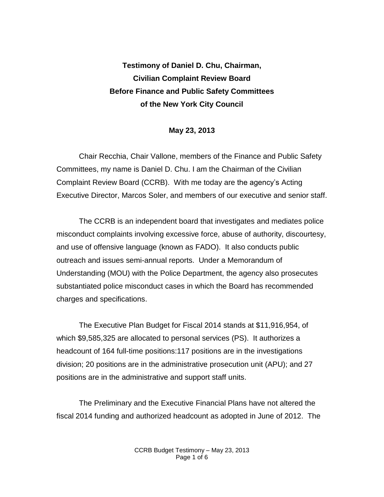# **Testimony of Daniel D. Chu, Chairman, Civilian Complaint Review Board Before Finance and Public Safety Committees of the New York City Council**

## **May 23, 2013**

Chair Recchia, Chair Vallone, members of the Finance and Public Safety Committees, my name is Daniel D. Chu. I am the Chairman of the Civilian Complaint Review Board (CCRB). With me today are the agency's Acting Executive Director, Marcos Soler, and members of our executive and senior staff.

The CCRB is an independent board that investigates and mediates police misconduct complaints involving excessive force, abuse of authority, discourtesy, and use of offensive language (known as FADO). It also conducts public outreach and issues semi-annual reports. Under a Memorandum of Understanding (MOU) with the Police Department, the agency also prosecutes substantiated police misconduct cases in which the Board has recommended charges and specifications.

The Executive Plan Budget for Fiscal 2014 stands at \$11,916,954, of which \$9,585,325 are allocated to personal services (PS). It authorizes a headcount of 164 full-time positions:117 positions are in the investigations division; 20 positions are in the administrative prosecution unit (APU); and 27 positions are in the administrative and support staff units.

The Preliminary and the Executive Financial Plans have not altered the fiscal 2014 funding and authorized headcount as adopted in June of 2012. The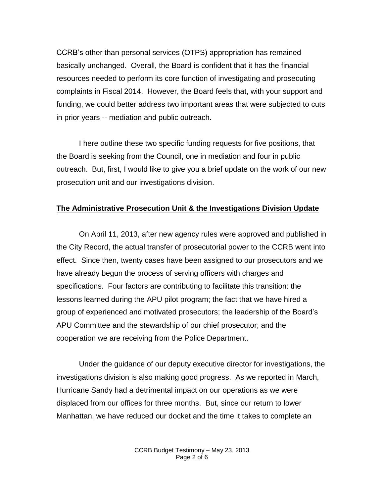CCRB's other than personal services (OTPS) appropriation has remained basically unchanged. Overall, the Board is confident that it has the financial resources needed to perform its core function of investigating and prosecuting complaints in Fiscal 2014. However, the Board feels that, with your support and funding, we could better address two important areas that were subjected to cuts in prior years -- mediation and public outreach.

I here outline these two specific funding requests for five positions, that the Board is seeking from the Council, one in mediation and four in public outreach. But, first, I would like to give you a brief update on the work of our new prosecution unit and our investigations division.

## **The Administrative Prosecution Unit & the Investigations Division Update**

On April 11, 2013, after new agency rules were approved and published in the City Record, the actual transfer of prosecutorial power to the CCRB went into effect. Since then, twenty cases have been assigned to our prosecutors and we have already begun the process of serving officers with charges and specifications. Four factors are contributing to facilitate this transition: the lessons learned during the APU pilot program; the fact that we have hired a group of experienced and motivated prosecutors; the leadership of the Board's APU Committee and the stewardship of our chief prosecutor; and the cooperation we are receiving from the Police Department.

Under the guidance of our deputy executive director for investigations, the investigations division is also making good progress. As we reported in March, Hurricane Sandy had a detrimental impact on our operations as we were displaced from our offices for three months. But, since our return to lower Manhattan, we have reduced our docket and the time it takes to complete an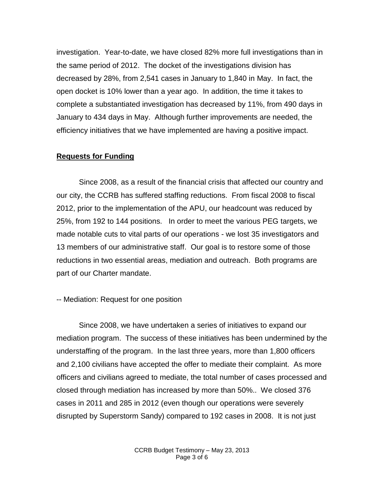investigation. Year-to-date, we have closed 82% more full investigations than in the same period of 2012. The docket of the investigations division has decreased by 28%, from 2,541 cases in January to 1,840 in May. In fact, the open docket is 10% lower than a year ago. In addition, the time it takes to complete a substantiated investigation has decreased by 11%, from 490 days in January to 434 days in May. Although further improvements are needed, the efficiency initiatives that we have implemented are having a positive impact.

### **Requests for Funding**

Since 2008, as a result of the financial crisis that affected our country and our city, the CCRB has suffered staffing reductions. From fiscal 2008 to fiscal 2012, prior to the implementation of the APU, our headcount was reduced by 25%, from 192 to 144 positions. In order to meet the various PEG targets, we made notable cuts to vital parts of our operations - we lost 35 investigators and 13 members of our administrative staff. Our goal is to restore some of those reductions in two essential areas, mediation and outreach. Both programs are part of our Charter mandate.

-- Mediation: Request for one position

Since 2008, we have undertaken a series of initiatives to expand our mediation program. The success of these initiatives has been undermined by the understaffing of the program. In the last three years, more than 1,800 officers and 2,100 civilians have accepted the offer to mediate their complaint. As more officers and civilians agreed to mediate, the total number of cases processed and closed through mediation has increased by more than 50%.. We closed 376 cases in 2011 and 285 in 2012 (even though our operations were severely disrupted by Superstorm Sandy) compared to 192 cases in 2008. It is not just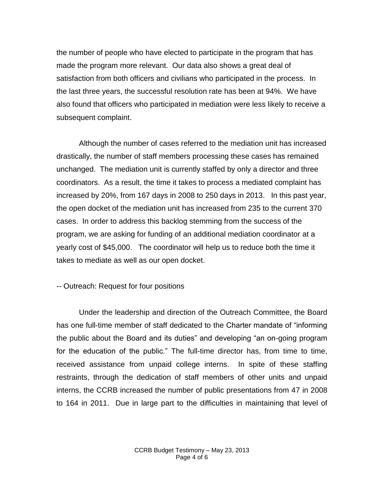the number of people who have elected to participate in the program that has made the program more relevant. Our data also shows a great deal of satisfaction from both officers and civilians who participated in the process. In the last three years, the successful resolution rate has been at 94%. We have also found that officers who participated in mediation were less likely to receive a subsequent complaint.

Although the number of cases referred to the mediation unit has increased drastically, the number of staff members processing these cases has remained unchanged. The mediation unit is currently staffed by only a director and three coordinators. As a result, the time it takes to process a mediated complaint has increased by 20%, from 167 days in 2008 to 250 days in 2013. In this past year, the open docket of the mediation unit has increased from 235 to the current 370 cases. In order to address this backlog stemming from the success of the program, we are asking for funding of an additional mediation coordinator at a yearly cost of \$45,000. The coordinator will help us to reduce both the time it takes to mediate as well as our open docket.

### -- Outreach: Request for four positions

Under the leadership and direction of the Outreach Committee, the Board has one full-time member of staff dedicated to the Charter mandate of "informing the public about the Board and its duties" and developing "an on-going program for the education of the public." The full-time director has, from time to time, received assistance from unpaid college interns. In spite of these staffing restraints, through the dedication of staff members of other units and unpaid interns, the CCRB increased the number of public presentations from 47 in 2008 to 164 in 2011. Due in large part to the difficulties in maintaining that level of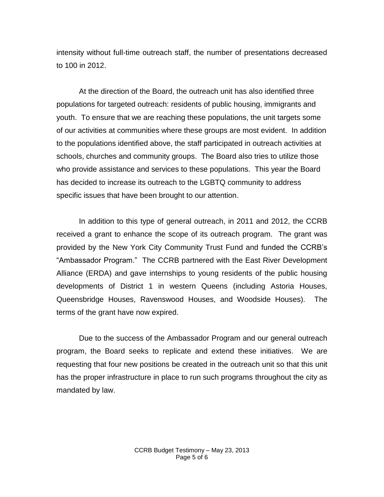intensity without full-time outreach staff, the number of presentations decreased to 100 in 2012.

At the direction of the Board, the outreach unit has also identified three populations for targeted outreach: residents of public housing, immigrants and youth. To ensure that we are reaching these populations, the unit targets some of our activities at communities where these groups are most evident. In addition to the populations identified above, the staff participated in outreach activities at schools, churches and community groups. The Board also tries to utilize those who provide assistance and services to these populations. This year the Board has decided to increase its outreach to the LGBTQ community to address specific issues that have been brought to our attention.

In addition to this type of general outreach, in 2011 and 2012, the CCRB received a grant to enhance the scope of its outreach program. The grant was provided by the New York City Community Trust Fund and funded the CCRB's "Ambassador Program." The CCRB partnered with the East River Development Alliance (ERDA) and gave internships to young residents of the public housing developments of District 1 in western Queens (including Astoria Houses, Queensbridge Houses, Ravenswood Houses, and Woodside Houses). The terms of the grant have now expired.

Due to the success of the Ambassador Program and our general outreach program, the Board seeks to replicate and extend these initiatives. We are requesting that four new positions be created in the outreach unit so that this unit has the proper infrastructure in place to run such programs throughout the city as mandated by law.